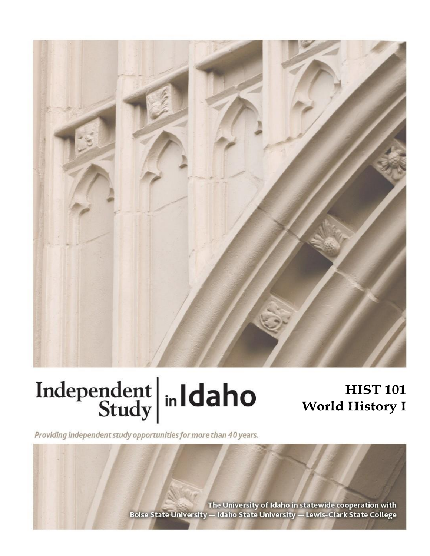

# Independent  $\left|\frac{\text{ind}}{\text{Study}}\right|$  in Idaho

# **HIST 101 World History I**

Providing independent study opportunities for more than 40 years.

The University of Idaho in statewide cooperation with Boise State University - Idaho State University - Lewis-Clark State College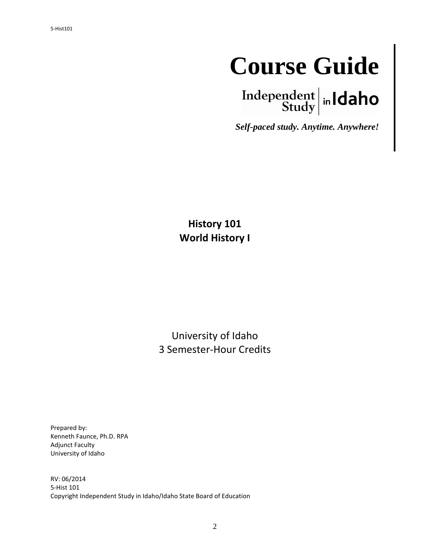# **Course Guide**

Independent  $\left|\right|$  in Idaho

*Self-paced study. Anytime. Anywhere!*

**History 101 World History I**

University of Idaho 3 Semester-Hour Credits

Prepared by: Kenneth Faunce, Ph.D. RPA Adjunct Faculty University of Idaho

RV: 06/2014 5-Hist 101 Copyright Independent Study in Idaho/Idaho State Board of Education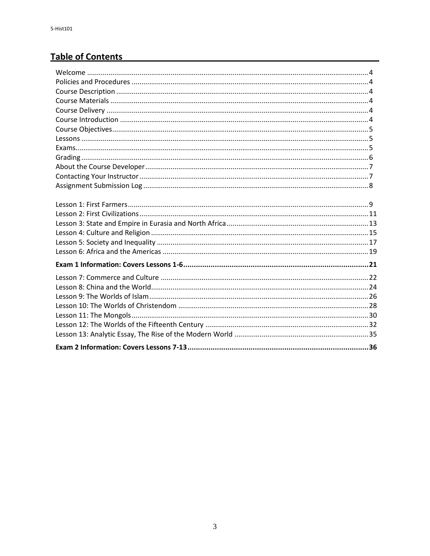# **Table of Contents**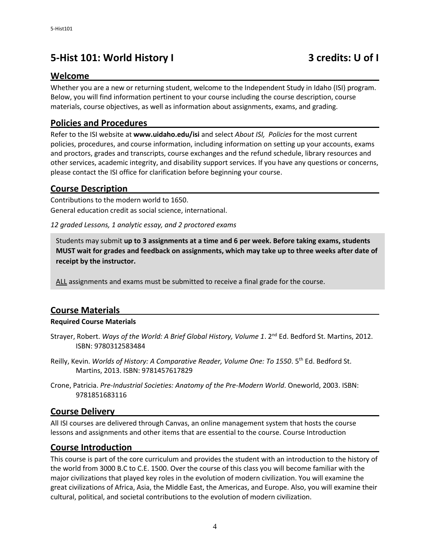## **5-Hist 101: World History I 3 credits: U of I**

#### **Welcome**

Whether you are a new or returning student, welcome to the Independent Study in Idaho (ISI) program. Below, you will find information pertinent to your course including the course description, course materials, course objectives, as well as information about assignments, exams, and grading.

#### **Policies and Procedures**

Refer to the ISI website at **www.uidaho.edu/isi** and select *About ISI, Policies* for the most current policies, procedures, and course information, including information on setting up your accounts, exams and proctors, grades and transcripts, course exchanges and the refund schedule, library resources and other services, academic integrity, and disability support services. If you have any questions or concerns, please contact the ISI office for clarification before beginning your course.

#### **Course Description**

Contributions to the modern world to 1650. General education credit as social science, international.

*12 graded Lessons, 1 analytic essay, and 2 proctored exams*

Students may submit **up to 3 assignments at a time and 6 per week. Before taking exams, students MUST wait for grades and feedback on assignments, which may take up to three weeks after date of receipt by the instructor.**

ALL assignments and exams must be submitted to receive a final grade for the course.

#### **Course Materials**

#### **Required Course Materials**

- Strayer, Robert. *Ways of the World: A Brief Global History, Volume 1*. 2<sup>nd</sup> Ed. Bedford St. Martins, 2012. ISBN: 9780312583484
- Reilly, Kevin. *Worlds of History: A Comparative Reader, Volume One: To 1550*. 5<sup>th</sup> Ed. Bedford St. Martins, 2013. ISBN: 9781457617829
- Crone, Patricia. *Pre-Industrial Societies: Anatomy of the Pre-Modern World*. Oneworld, 2003. ISBN: 9781851683116

#### **Course Delivery**

All ISI courses are delivered through Canvas, an online management system that hosts the course lessons and assignments and other items that are essential to the course. Course Introduction

#### **Course Introduction**

This course is part of the core curriculum and provides the student with an introduction to the history of the world from 3000 B.C to C.E. 1500. Over the course of this class you will become familiar with the major civilizations that played key roles in the evolution of modern civilization. You will examine the great civilizations of Africa, Asia, the Middle East, the Americas, and Europe. Also, you will examine their cultural, political, and societal contributions to the evolution of modern civilization.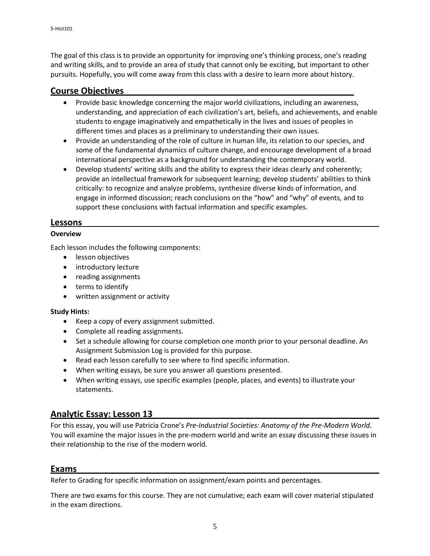The goal of this class is to provide an opportunity for improving one's thinking process, one's reading and writing skills, and to provide an area of study that cannot only be exciting, but important to other pursuits. Hopefully, you will come away from this class with a desire to learn more about history.

#### **Course Objectives**

- Provide basic knowledge concerning the major world civilizations, including an awareness, understanding, and appreciation of each civilization's art, beliefs, and achievements, and enable students to engage imaginatively and empathetically in the lives and issues of peoples in different times and places as a preliminary to understanding their own issues.
- Provide an understanding of the role of culture in human life, its relation to our species, and some of the fundamental dynamics of culture change, and encourage development of a broad international perspective as a background for understanding the contemporary world.
- Develop students' writing skills and the ability to express their ideas clearly and coherently; provide an intellectual framework for subsequent learning; develop students' abilities to think critically: to recognize and analyze problems, synthesize diverse kinds of information, and engage in informed discussion; reach conclusions on the "how" and "why" of events, and to support these conclusions with factual information and specific examples.

#### **Lessons**

#### **Overview**

Each lesson includes the following components:

- lesson objectives
- introductory lecture
- reading assignments
- terms to identify
- written assignment or activity

#### **Study Hints:**

- Keep a copy of every assignment submitted.
- Complete all reading assignments.
- Set a schedule allowing for course completion one month prior to your personal deadline. An Assignment Submission Log is provided for this purpose.
- Read each lesson carefully to see where to find specific information.
- When writing essays, be sure you answer all questions presented.
- When writing essays, use specific examples (people, places, and events) to illustrate your statements.

#### **Analytic Essay: Lesson 13**

For this essay, you will use Patricia Crone's *Pre-Industrial Societies: Anatomy of the Pre-Modern World*. You will examine the major issues in the pre-modern world and write an essay discussing these issues in their relationship to the rise of the modern world.

#### **Exams**

Refer to Grading for specific information on assignment/exam points and percentages.

There are two exams for this course. They are not cumulative; each exam will cover material stipulated in the exam directions.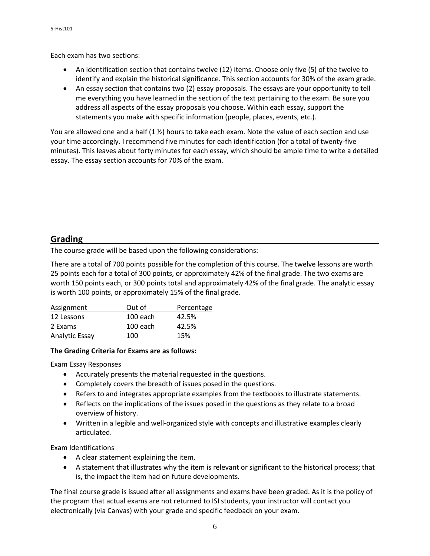Each exam has two sections:

- An identification section that contains twelve (12) items. Choose only five (5) of the twelve to identify and explain the historical significance. This section accounts for 30% of the exam grade.
- An essay section that contains two (2) essay proposals. The essays are your opportunity to tell me everything you have learned in the section of the text pertaining to the exam. Be sure you address all aspects of the essay proposals you choose. Within each essay, support the statements you make with specific information (people, places, events, etc.).

You are allowed one and a half (1 %) hours to take each exam. Note the value of each section and use your time accordingly. I recommend five minutes for each identification (for a total of twenty-five minutes). This leaves about forty minutes for each essay, which should be ample time to write a detailed essay. The essay section accounts for 70% of the exam.

#### **Grading**

The course grade will be based upon the following considerations:

There are a total of 700 points possible for the completion of this course. The twelve lessons are worth 25 points each for a total of 300 points, or approximately 42% of the final grade. The two exams are worth 150 points each, or 300 points total and approximately 42% of the final grade. The analytic essay is worth 100 points, or approximately 15% of the final grade.

| Assignment            | Out of   | Percentage |
|-----------------------|----------|------------|
| 12 Lessons            | 100 each | 42.5%      |
| 2 Exams               | 100 each | 42.5%      |
| <b>Analytic Essay</b> | 100      | 15%        |

#### **The Grading Criteria for Exams are as follows:**

Exam Essay Responses

- Accurately presents the material requested in the questions.
- Completely covers the breadth of issues posed in the questions.
- Refers to and integrates appropriate examples from the textbooks to illustrate statements.
- Reflects on the implications of the issues posed in the questions as they relate to a broad overview of history.
- Written in a legible and well-organized style with concepts and illustrative examples clearly articulated.

Exam Identifications

- A clear statement explaining the item.
- A statement that illustrates why the item is relevant or significant to the historical process; that is, the impact the item had on future developments.

The final course grade is issued after all assignments and exams have been graded. As it is the policy of the program that actual exams are not returned to ISI students, your instructor will contact you electronically (via Canvas) with your grade and specific feedback on your exam.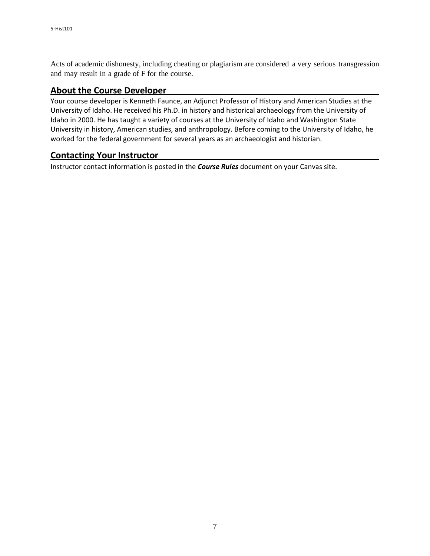Acts of academic dishonesty, including cheating or plagiarism are considered a very serious transgression and may result in a grade of F for the course.

#### **About the Course Developer**

Your course developer is Kenneth Faunce, an Adjunct Professor of History and American Studies at the University of Idaho. He received his Ph.D. in history and historical archaeology from the University of Idaho in 2000. He has taught a variety of courses at the University of Idaho and Washington State University in history, American studies, and anthropology. Before coming to the University of Idaho, he worked for the federal government for several years as an archaeologist and historian.

#### **Contacting Your Instructor**

Instructor contact information is posted in the *Course Rules* document on your Canvas site.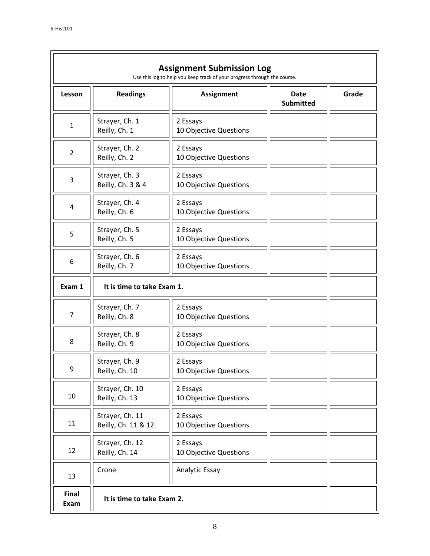| <b>Assignment Submission Log</b><br>Use this log to help you keep track of your progress through the course. |                                        |                                    |                                 |       |  |
|--------------------------------------------------------------------------------------------------------------|----------------------------------------|------------------------------------|---------------------------------|-------|--|
| Lesson                                                                                                       | <b>Readings</b>                        | <b>Assignment</b>                  | <b>Date</b><br><b>Submitted</b> | Grade |  |
| $\mathbf{1}$                                                                                                 | Strayer, Ch. 1<br>Reilly, Ch. 1        | 2 Essays<br>10 Objective Questions |                                 |       |  |
| $\overline{2}$                                                                                               | Strayer, Ch. 2<br>Reilly, Ch. 2        | 2 Essays<br>10 Objective Questions |                                 |       |  |
| 3                                                                                                            | Strayer, Ch. 3<br>Reilly, Ch. 3 & 4    | 2 Essays<br>10 Objective Questions |                                 |       |  |
| 4                                                                                                            | Strayer, Ch. 4<br>Reilly, Ch. 6        | 2 Essays<br>10 Objective Questions |                                 |       |  |
| 5                                                                                                            | Strayer, Ch. 5<br>Reilly, Ch. 5        | 2 Essays<br>10 Objective Questions |                                 |       |  |
| 6                                                                                                            | Strayer, Ch. 6<br>Reilly, Ch. 7        | 2 Essays<br>10 Objective Questions |                                 |       |  |
| Exam 1                                                                                                       | It is time to take Exam 1.             |                                    |                                 |       |  |
| $\overline{7}$                                                                                               | Strayer, Ch. 7<br>Reilly, Ch. 8        | 2 Essays<br>10 Objective Questions |                                 |       |  |
| 8                                                                                                            | Strayer, Ch. 8<br>Reilly, Ch. 9        | 2 Essays<br>10 Objective Questions |                                 |       |  |
| 9                                                                                                            | Strayer, Ch. 9<br>Reilly, Ch. 10       | 2 Essays<br>10 Objective Questions |                                 |       |  |
| 10                                                                                                           | Strayer, Ch. 10<br>Reilly, Ch. 13      | 2 Essays<br>10 Objective Questions |                                 |       |  |
| 11                                                                                                           | Strayer, Ch. 11<br>Reilly, Ch. 11 & 12 | 2 Essays<br>10 Objective Questions |                                 |       |  |
| 12                                                                                                           | Strayer, Ch. 12<br>Reilly, Ch. 14      | 2 Essays<br>10 Objective Questions |                                 |       |  |
| 13                                                                                                           | Crone                                  | Analytic Essay                     |                                 |       |  |
| Final<br>Exam                                                                                                | It is time to take Exam 2.             |                                    |                                 |       |  |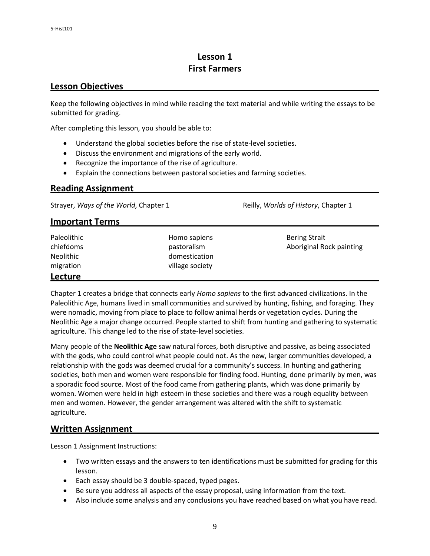### **Lesson 1 First Farmers**

#### **Lesson Objectives**

Keep the following objectives in mind while reading the text material and while writing the essays to be submitted for grading.

After completing this lesson, you should be able to:

- Understand the global societies before the rise of state-level societies.
- Discuss the environment and migrations of the early world.
- Recognize the importance of the rise of agriculture.
- Explain the connections between pastoral societies and farming societies.

#### **Reading Assignment**

Strayer, *Ways of the World*, *Chapter 1* **Reilly,** *Worlds of History*, *Chapter 1* 

#### **Important Terms**

| Paleolithic<br>chiefdoms<br><b>Neolithic</b><br>migration | Homo sapiens<br>pastoralism<br>domestication<br>village society | <b>Bering Strait</b><br>Aboriginal Rock painting |
|-----------------------------------------------------------|-----------------------------------------------------------------|--------------------------------------------------|
| Lecture                                                   |                                                                 |                                                  |

Chapter 1 creates a bridge that connects early *Homo sapiens* to the first advanced civilizations. In the Paleolithic Age, humans lived in small communities and survived by hunting, fishing, and foraging. They were nomadic, moving from place to place to follow animal herds or vegetation cycles. During the Neolithic Age a major change occurred. People started to shift from hunting and gathering to systematic agriculture. This change led to the rise of state-level societies.

Many people of the **Neolithic Age** saw natural forces, both disruptive and passive, as being associated with the gods, who could control what people could not. As the new, larger communities developed, a relationship with the gods was deemed crucial for a community's success. In hunting and gathering societies, both men and women were responsible for finding food. Hunting, done primarily by men, was a sporadic food source. Most of the food came from gathering plants, which was done primarily by women. Women were held in high esteem in these societies and there was a rough equality between men and women. However, the gender arrangement was altered with the shift to systematic agriculture.

#### **Written Assignment**

Lesson 1 Assignment Instructions:

- Two written essays and the answers to ten identifications must be submitted for grading for this lesson.
- Each essay should be 3 double-spaced, typed pages.
- Be sure you address all aspects of the essay proposal, using information from the text.
- Also include some analysis and any conclusions you have reached based on what you have read.